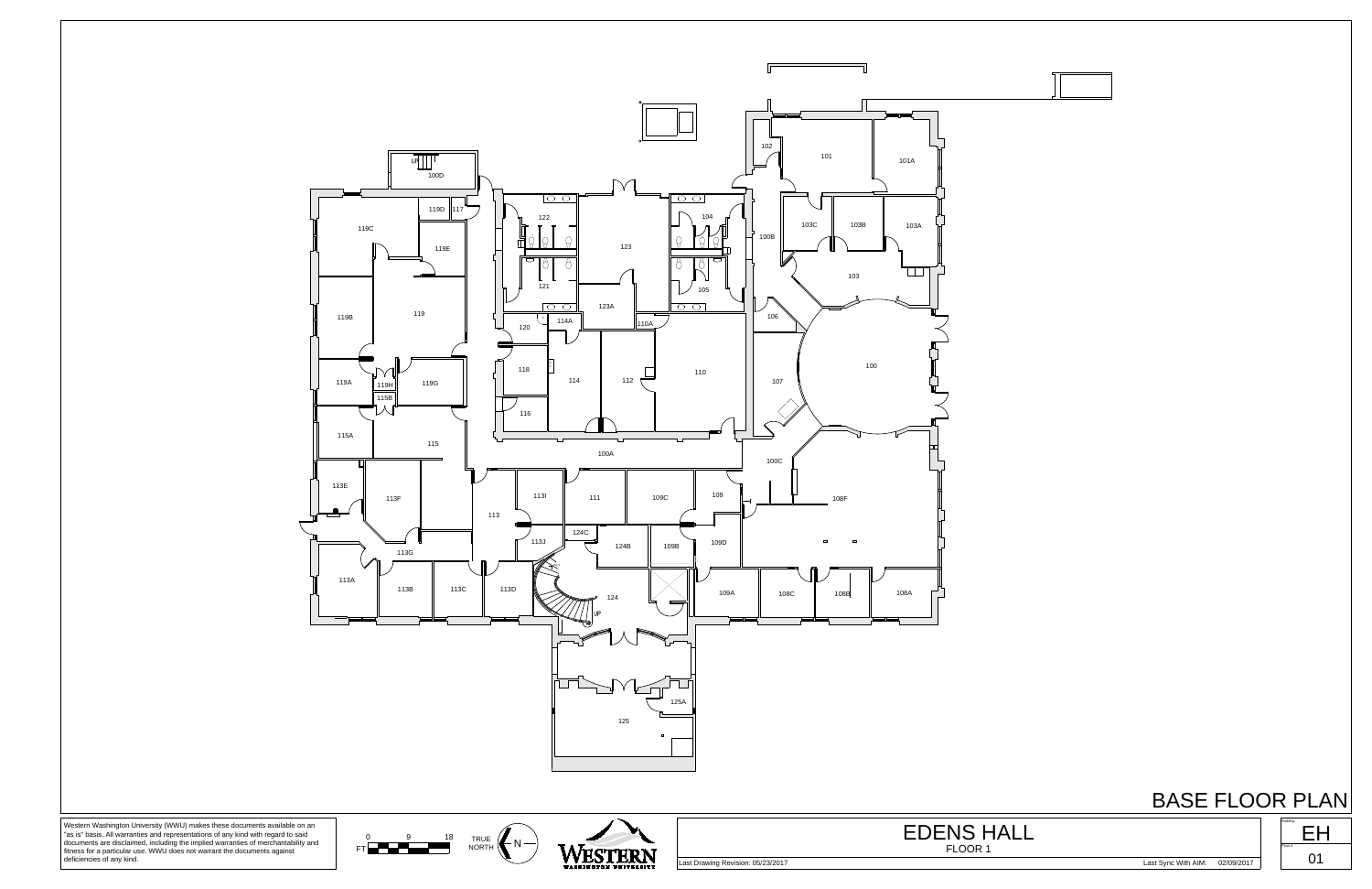

Western Washington University (WWU) makes these documents available on an "as is" basis. All warranties and representations of any kind with regard to said documents are disclaimed, including the implied warranties of merc

## BASE FLOOR PLAN





FLOOR 1

EDENS HALL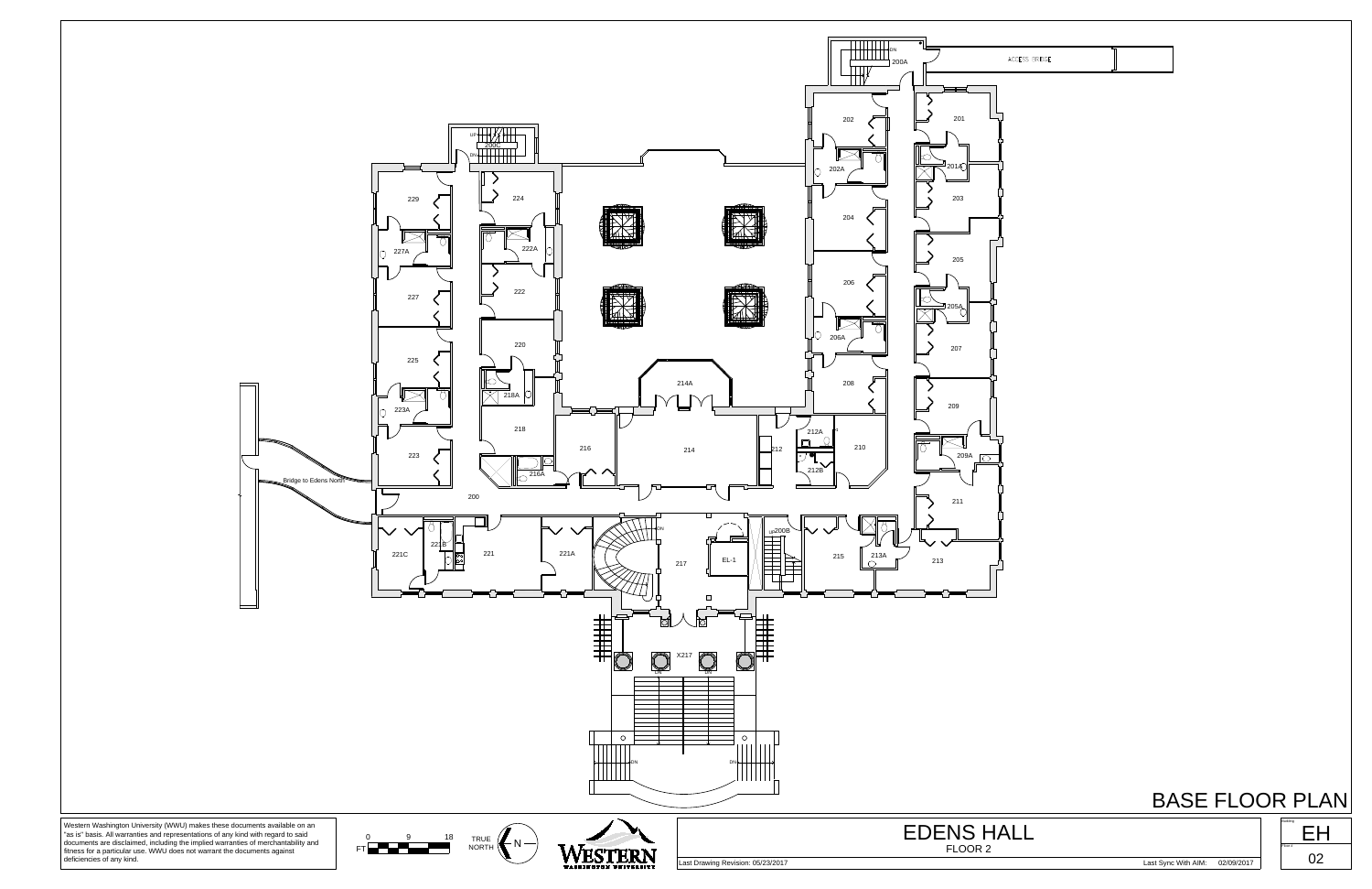## BASE FLOOR PLAN



Last Drawing Revision: 05/23/2017 Last Sync With AIM: 02/09/2017

| <b>ACCESS BRIDGE</b> |  |
|----------------------|--|

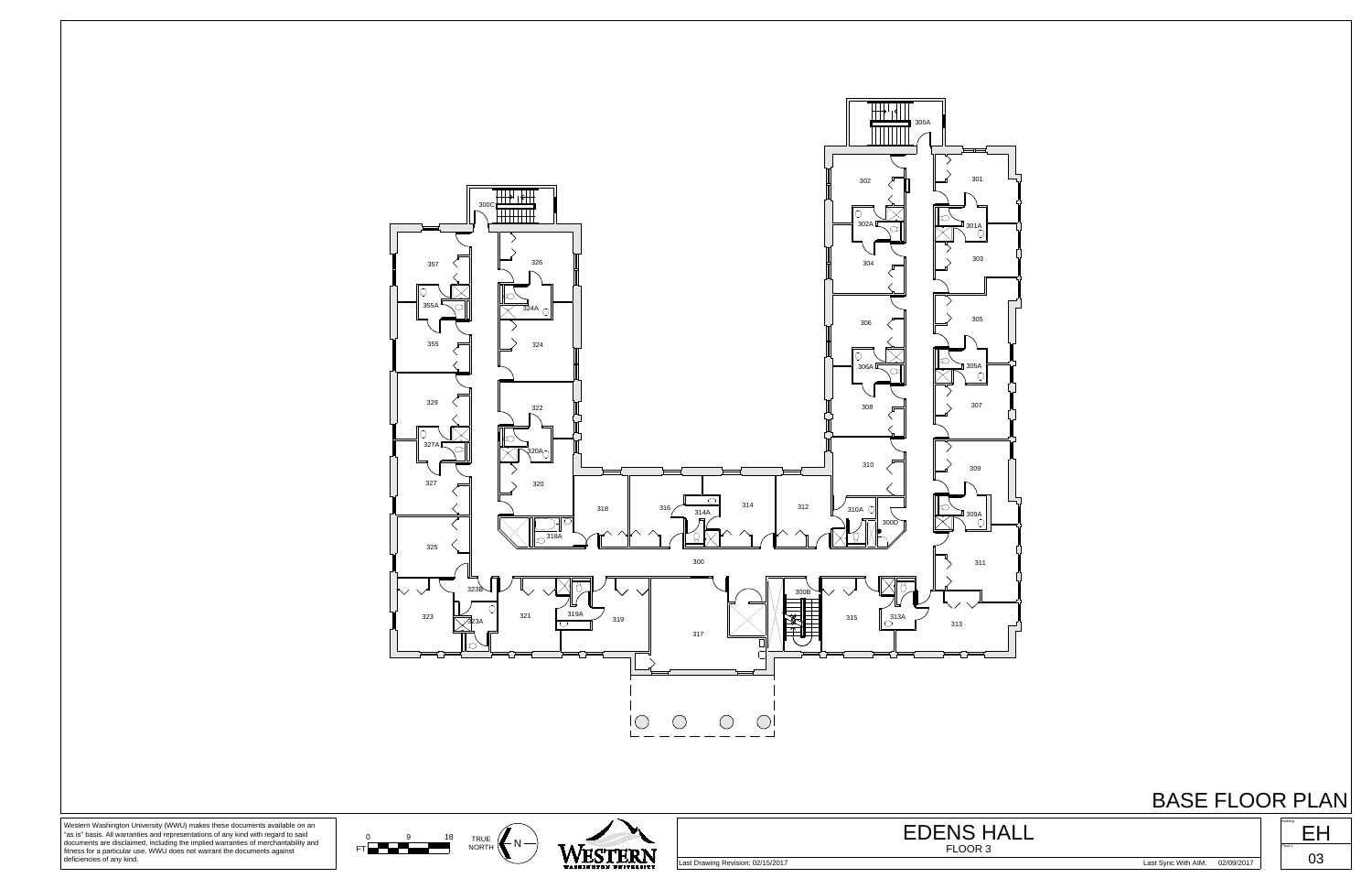

## BASE FLOOR PLAN

Western Washington University (WWU) makes these documents available on an "as is" basis. All warranties and representations of any kind with regard to said documents are disclaimed, including the implied warranties of merchantability and fitness for a particular use. WWU does not warrant the documents against deficiencies of any kind.

**WESTERN** 

TRUE  $K_N$  -

 $FT \nightharpoonup^9$  18 TRUE

Last Drawing Revision: 02/15/2017 Last Sync With AIM: 02/09/2017



FLOOR 3 EDENS HALL